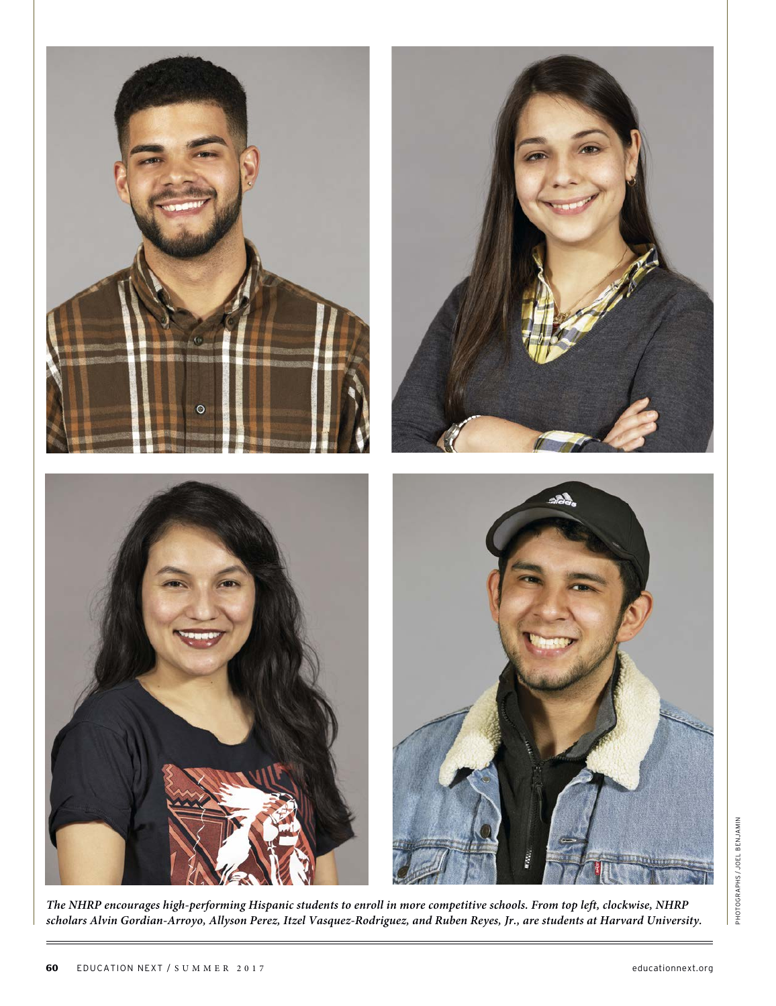

PHOTOGRAPHS/JOEL BENJAMIN PHOTOGRAPHS / JOEL BENJAMIN

**The NHRP encourages high-performing Hispanic students to enroll in more competitive schools. From top left, clockwise, NHRP scholars Alvin Gordian-Arroyo, Allyson Perez, Itzel Vasquez-Rodriguez, and Ruben Reyes, Jr., are students at Harvard University.**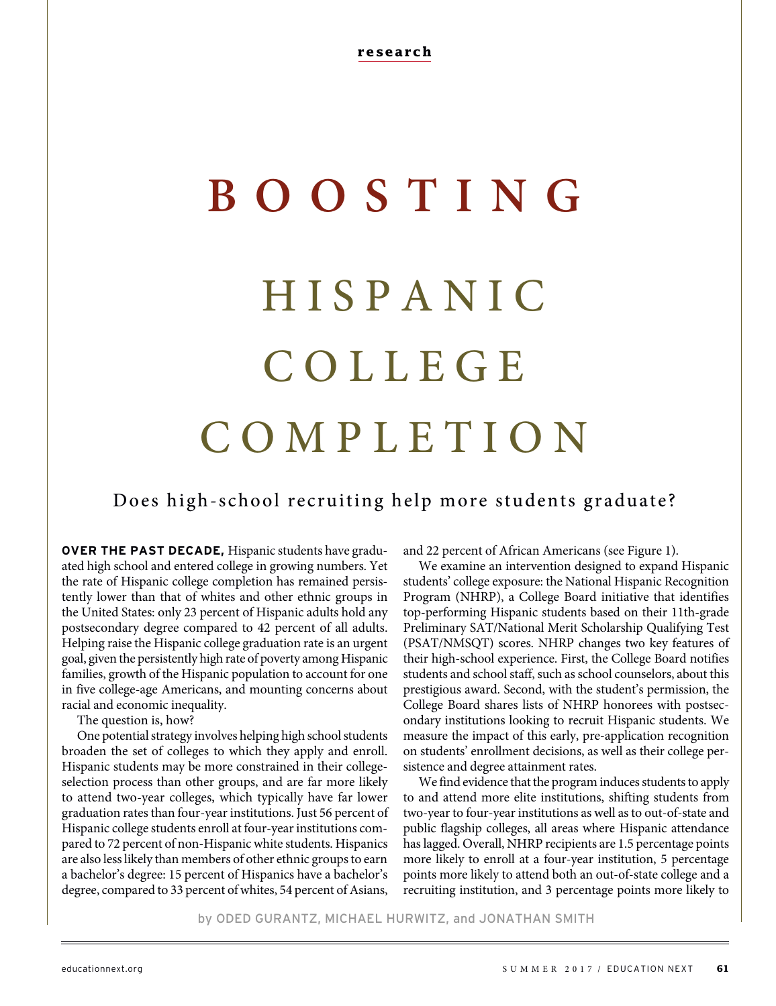# **BOOSTING** H I S P A N I C C O L L E G E COMPLETION

# Does high-school recruiting help more students graduate?

**OVER THE PAST DECADE,** Hispanic students have graduated high school and entered college in growing numbers. Yet the rate of Hispanic college completion has remained persistently lower than that of whites and other ethnic groups in the United States: only 23 percent of Hispanic adults hold any postsecondary degree compared to 42 percent of all adults. Helping raise the Hispanic college graduation rate is an urgent goal, given the persistently high rate of poverty among Hispanic families, growth of the Hispanic population to account for one in five college-age Americans, and mounting concerns about racial and economic inequality.

The question is, how?

One potential strategy involves helping high school students broaden the set of colleges to which they apply and enroll. Hispanic students may be more constrained in their collegeselection process than other groups, and are far more likely to attend two-year colleges, which typically have far lower graduation rates than four-year institutions. Just 56 percent of Hispanic college students enroll at four-year institutions compared to 72 percent of non-Hispanic white students. Hispanics are also less likely than members of other ethnic groups to earn a bachelor's degree: 15 percent of Hispanics have a bachelor's degree, compared to 33 percent of whites, 54 percent of Asians,

and 22 percent of African Americans (see Figure 1).

We examine an intervention designed to expand Hispanic students' college exposure: the National Hispanic Recognition Program (NHRP), a College Board initiative that identifies top-performing Hispanic students based on their 11th-grade Preliminary SAT/National Merit Scholarship Qualifying Test (PSAT/NMSQT) scores. NHRP changes two key features of their high-school experience. First, the College Board notifies students and school staff, such as school counselors, about this prestigious award. Second, with the student's permission, the College Board shares lists of NHRP honorees with postsecondary institutions looking to recruit Hispanic students. We measure the impact of this early, pre-application recognition on students' enrollment decisions, as well as their college persistence and degree attainment rates.

We find evidence that the program induces students to apply to and attend more elite institutions, shifting students from two-year to four-year institutions as well as to out-of-state and public flagship colleges, all areas where Hispanic attendance has lagged. Overall, NHRP recipients are 1.5 percentage points more likely to enroll at a four-year institution, 5 percentage points more likely to attend both an out-of-state college and a recruiting institution, and 3 percentage points more likely to

by ODED GURANTZ, MICHAEL HURWITZ, and JONATHAN SMITH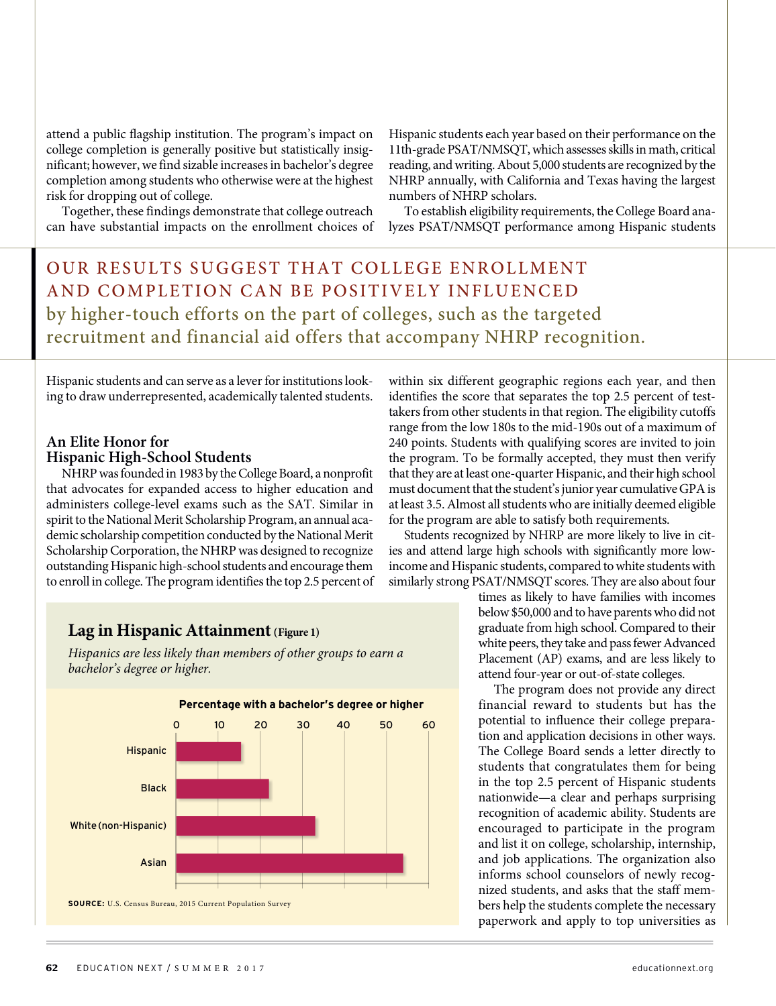attend a public flagship institution. The program's impact on college completion is generally positive but statistically insignificant; however, we find sizable increases in bachelor's degree completion among students who otherwise were at the highest risk for dropping out of college.

Together, these findings demonstrate that college outreach can have substantial impacts on the enrollment choices of Hispanic students each year based on their performance on the 11th-grade PSAT/NMSQT, which assesses skills in math, critical reading, and writing. About 5,000 students are recognized by the NHRP annually, with California and Texas having the largest numbers of NHRP scholars.

To establish eligibility requirements, the College Board analyzes PSAT/NMSQT performance among Hispanic students

# OUR RESULTS SUGGEST THAT COLLEGE ENROLLMENT AND COMPLETION CAN BE POSITIVELY INFLUENCED by higher-touch efforts on the part of colleges, such as the targeted recruitment and financial aid offers that accompany NHRP recognition.

Hispanic students and can serve as a lever for institutions looking to draw underrepresented, academically talented students.

#### **An Elite Honor for Hispanic High-School Students**

NHRP was founded in 1983 by the College Board, a nonprofit that advocates for expanded access to higher education and administers college-level exams such as the SAT. Similar in spirit to the National Merit Scholarship Program, an annual academic scholarship competition conducted by the National Merit Scholarship Corporation, the NHRP was designed to recognize outstanding Hispanic high-school students and encourage them to enroll in college. The program identifies the top 2.5 percent of

### **Lag in Hispanic Attainment (Figure 1)**

Hispanics are less likely than members of other groups to earn a bachelor's degree or higher.



within six different geographic regions each year, and then identifies the score that separates the top 2.5 percent of testtakers from other students in that region. The eligibility cutoffs range from the low 180s to the mid-190s out of a maximum of 240 points. Students with qualifying scores are invited to join the program. To be formally accepted, they must then verify that they are at least one-quarter Hispanic, and their high school must document that the student's junior year cumulative GPA is at least 3.5. Almost all students who are initially deemed eligible for the program are able to satisfy both requirements.

Students recognized by NHRP are more likely to live in cities and attend large high schools with significantly more lowincome and Hispanic students, compared to white students with similarly strong PSAT/NMSQT scores. They are also about four

> times as likely to have families with incomes below \$50,000 and to have parents who did not graduate from high school. Compared to their white peers, they take and pass fewer Advanced Placement (AP) exams, and are less likely to attend four-year or out-of-state colleges.

> The program does not provide any direct financial reward to students but has the potential to influence their college preparation and application decisions in other ways. The College Board sends a letter directly to students that congratulates them for being in the top 2.5 percent of Hispanic students nationwide—a clear and perhaps surprising recognition of academic ability. Students are encouraged to participate in the program and list it on college, scholarship, internship, and job applications. The organization also informs school counselors of newly recognized students, and asks that the staff members help the students complete the necessary paperwork and apply to top universities as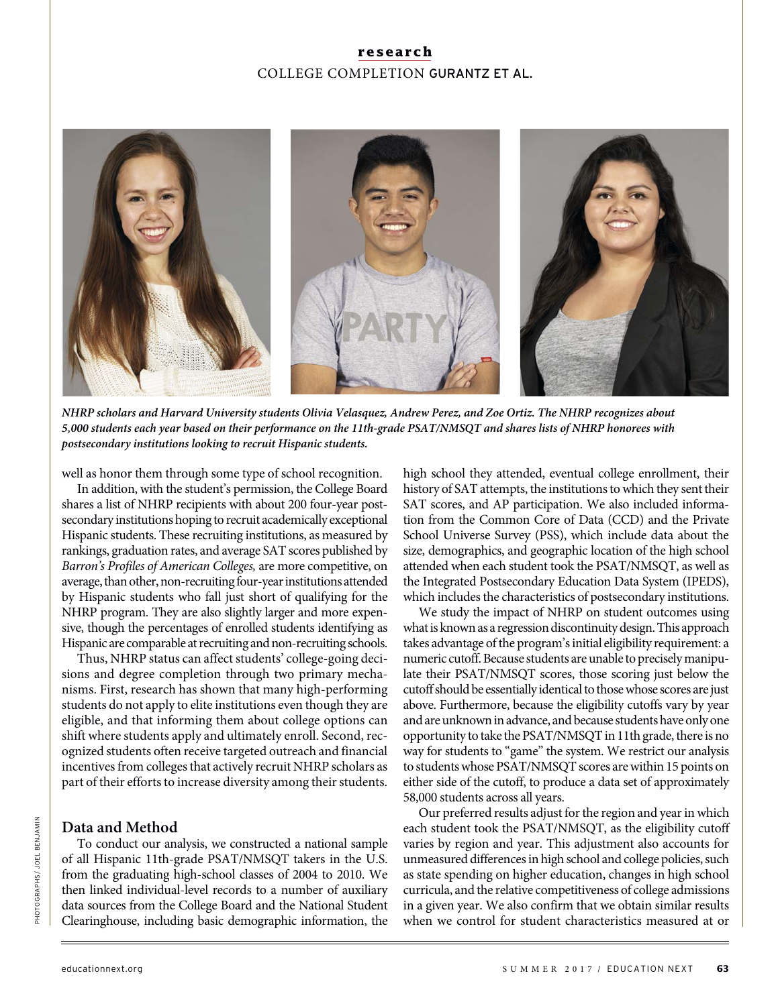## **research** COLLEGE COMPLETION GURANTZ ET AL.



**NHRP scholars and Harvard University students Olivia Velasquez, Andrew Perez, and Zoe Ortiz. The NHRP recognizes about 5,000 students each year based on their performance on the 11th-grade PSAT/NMSQT and shares lists of NHRP honorees with postsecondary institutions looking to recruit Hispanic students.**

well as honor them through some type of school recognition.

In addition, with the student's permission, the College Board shares a list of NHRP recipients with about 200 four-year postsecondary institutions hoping to recruit academically exceptional Hispanic students. These recruiting institutions, as measured by rankings, graduation rates, and average SAT scores published by Barron's Profiles of American Colleges, are more competitive, on average, than other, non-recruiting four-year institutions attended by Hispanic students who fall just short of qualifying for the NHRP program. They are also slightly larger and more expensive, though the percentages of enrolled students identifying as Hispanic are comparable at recruiting and non-recruiting schools.

Thus, NHRP status can affect students' college-going decisions and degree completion through two primary mechanisms. First, research has shown that many high-performing students do not apply to elite institutions even though they are eligible, and that informing them about college options can shift where students apply and ultimately enroll. Second, recognized students often receive targeted outreach and financial incentives from colleges that actively recruit NHRP scholars as part of their efforts to increase diversity among their students.

#### **Data and Method**

To conduct our analysis, we constructed a national sample of all Hispanic 11th-grade PSAT/NMSQT takers in the U.S. from the graduating high-school classes of 2004 to 2010. We then linked individual-level records to a number of auxiliary data sources from the College Board and the National Student Clearinghouse, including basic demographic information, the

high school they attended, eventual college enrollment, their history of SAT attempts, the institutions to which they sent their SAT scores, and AP participation. We also included information from the Common Core of Data (CCD) and the Private School Universe Survey (PSS), which include data about the size, demographics, and geographic location of the high school attended when each student took the PSAT/NMSQT, as well as the Integrated Postsecondary Education Data System (IPEDS), which includes the characteristics of postsecondary institutions.

We study the impact of NHRP on student outcomes using what is known as a regression discontinuity design. This approach takes advantage of the program's initial eligibility requirement: a numeric cutoff. Because students are unable to precisely manipulate their PSAT/NMSQT scores, those scoring just below the cutoff should be essentially identical to those whose scores are just above. Furthermore, because the eligibility cutoffs vary by year and are unknown in advance, and because students have only one opportunity to take the PSAT/NMSQT in 11th grade, there is no way for students to "game" the system. We restrict our analysis to students whose PSAT/NMSQT scores are within 15 points on either side of the cutoff, to produce a data set of approximately 58,000 students across all years.

Our preferred results adjust for the region and year in which each student took the PSAT/NMSQT, as the eligibility cutoff varies by region and year. This adjustment also accounts for unmeasured differences in high school and college policies, such as state spending on higher education, changes in high school curricula, and the relative competitiveness of college admissions in a given year. We also confirm that we obtain similar results when we control for student characteristics measured at or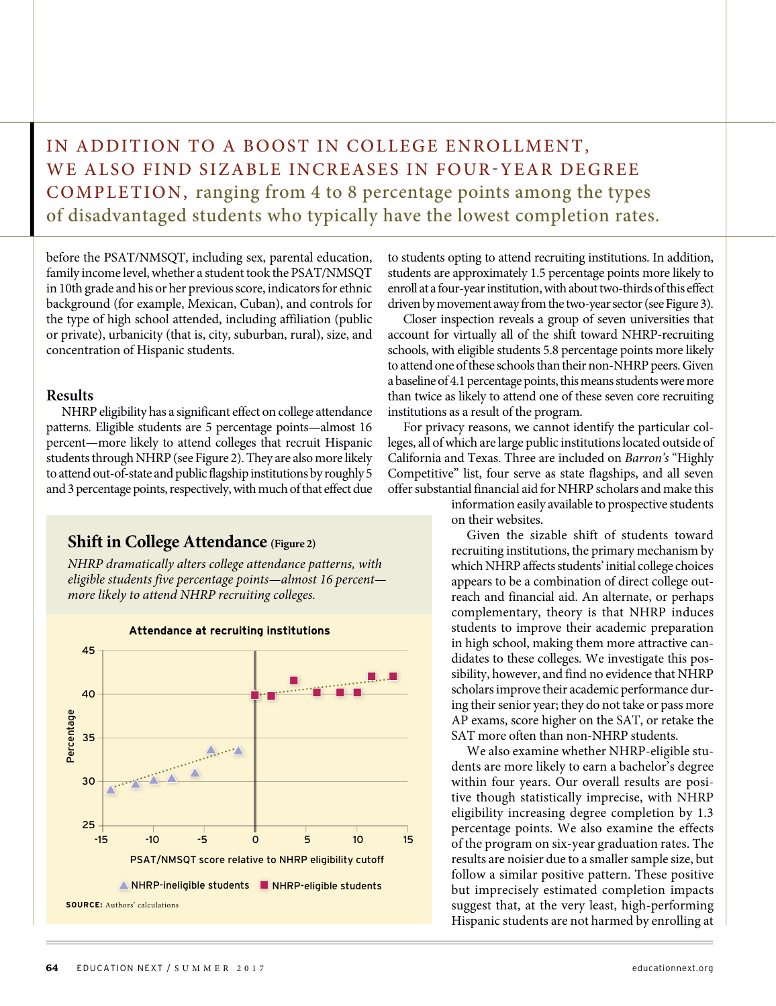IN ADDITION TO A BOOST IN COLLEGE ENROLLMENT, WE ALSO FIND SIZABLE INCREASES IN FOUR-YEAR DEGREE COMPLETION, ranging from 4 to 8 percentage points among the types of disadvantaged students who typically have the lowest completion rates.

before the PSAT/NMSQT, including sex, parental education, family income level, whether a student took the PSAT/NMSQT in 10th grade and his or her previous score, indicators for ethnic background (for example, Mexican, Cuban), and controls for the type of high school attended, including affiliation (public or private), urbanicity (that is, city, suburban, rural), size, and concentration of Hispanic students.

#### **Results**

NHRP eligibility has a significant effect on college attendance patterns. Eligible students are 5 percentage points—almost 16 percent—more likely to attend colleges that recruit Hispanic students through NHRP (see Figure 2). They are also more likely to attend out-of-state and public flagship institutions by roughly 5 and 3 percentage points, respectively, with much of that effect due

#### **Shift in College Attendance** (Figure 2)

NHRP dramatically alters college attendance patterns, with eligible students five percentage points—almost 16 percent more likely to attend NHRP recruiting colleges.





to students opting to attend recruiting institutions. In addition, students are approximately 1.5 percentage points more likely to enroll at a four-year institution, with about two-thirds of this effect driven by movement away from the two-year sector (see Figure 3).

Closer inspection reveals a group of seven universities that account for virtually all of the shift toward NHRP-recruiting schools, with eligible students 5.8 percentage points more likely to attend one of these schools than their non-NHRP peers. Given a baseline of 4.1 percentage points, this means students were more than twice as likely to attend one of these seven core recruiting institutions as a result of the program.

For privacy reasons, we cannot identify the particular colleges, all of which are large public institutions located outside of California and Texas. Three are included on Barron's "Highly Competitive" list, four serve as state flagships, and all seven offer substantial financial aid for NHRP scholars and make this

> information easily available to prospective students on their websites.

> Given the sizable shift of students toward recruiting institutions, the primary mechanism by which NHRP affects students' initial college choices appears to be a combination of direct college outreach and financial aid. An alternate, or perhaps complementary, theory is that NHRP induces students to improve their academic preparation in high school, making them more attractive candidates to these colleges. We investigate this possibility, however, and find no evidence that NHRP scholars improve their academic performance during their senior year; they do not take or pass more AP exams, score higher on the SAT, or retake the SAT more often than non-NHRP students.

> We also examine whether NHRP-eligible students are more likely to earn a bachelor's degree within four years. Our overall results are positive though statistically imprecise, with NHRP eligibility increasing degree completion by 1.3 percentage points. We also examine the effects of the program on six-year graduation rates. The results are noisier due to a smaller sample size, but follow a similar positive pattern. These positive but imprecisely estimated completion impacts suggest that, at the very least, high-performing Hispanic students are not harmed by enrolling at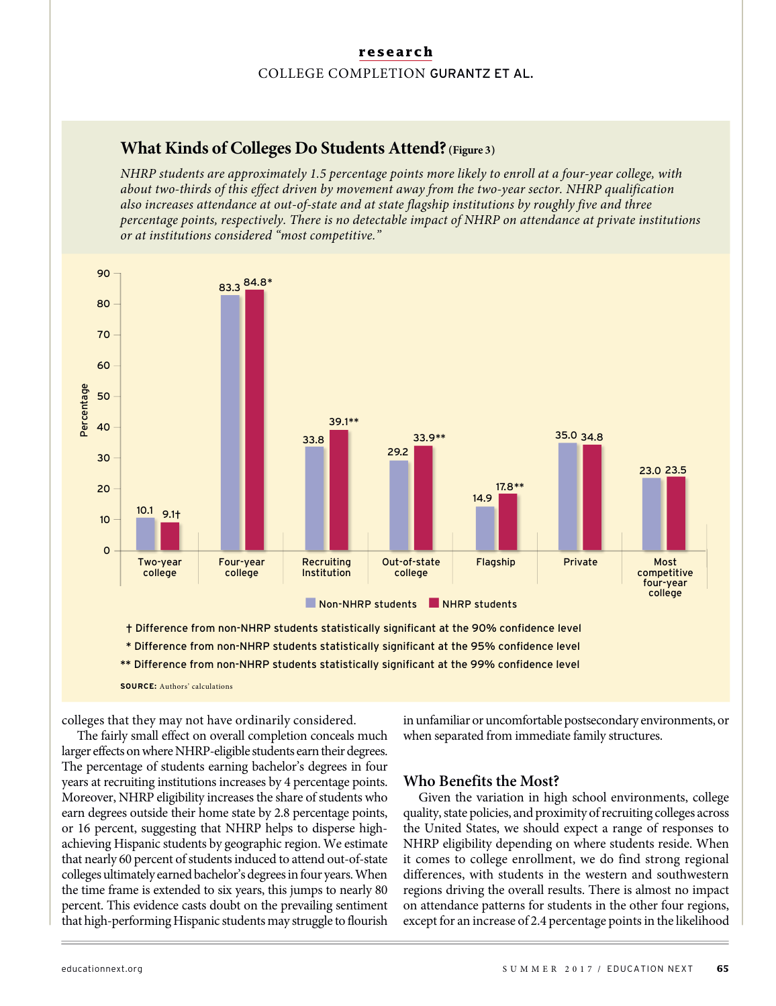#### **research** COLLEGE COMPLETION GURANTZ ET AL.

# **What Kinds of Colleges Do Students Attend?(Figure 3)**

NHRP students are approximately 1.5 percentage points more likely to enroll at a four-year college, with about two-thirds of this effect driven by movement away from the two-year sector. NHRP qualification also increases attendance at out-of-state and at state flagship institutions by roughly five and three percentage points, respectively. There is no detectable impact of NHRP on attendance at private institutions or at institutions considered "most competitive."



colleges that they may not have ordinarily considered.

The fairly small effect on overall completion conceals much larger effects on where NHRP-eligible students earn their degrees. The percentage of students earning bachelor's degrees in four years at recruiting institutions increases by 4 percentage points. Moreover, NHRP eligibility increases the share of students who earn degrees outside their home state by 2.8 percentage points, or 16 percent, suggesting that NHRP helps to disperse highachieving Hispanic students by geographic region. We estimate that nearly 60 percent of students induced to attend out-of-state colleges ultimately earned bachelor's degrees in four years. When the time frame is extended to six years, this jumps to nearly 80 percent. This evidence casts doubt on the prevailing sentiment that high-performing Hispanic students may struggle to flourish

in unfamiliar or uncomfortable postsecondary environments, or when separated from immediate family structures.

#### **Who Benefits the Most?**

Given the variation in high school environments, college quality, state policies, and proximity of recruiting colleges across the United States, we should expect a range of responses to NHRP eligibility depending on where students reside. When it comes to college enrollment, we do find strong regional differences, with students in the western and southwestern regions driving the overall results. There is almost no impact on attendance patterns for students in the other four regions, except for an increase of 2.4 percentage points in the likelihood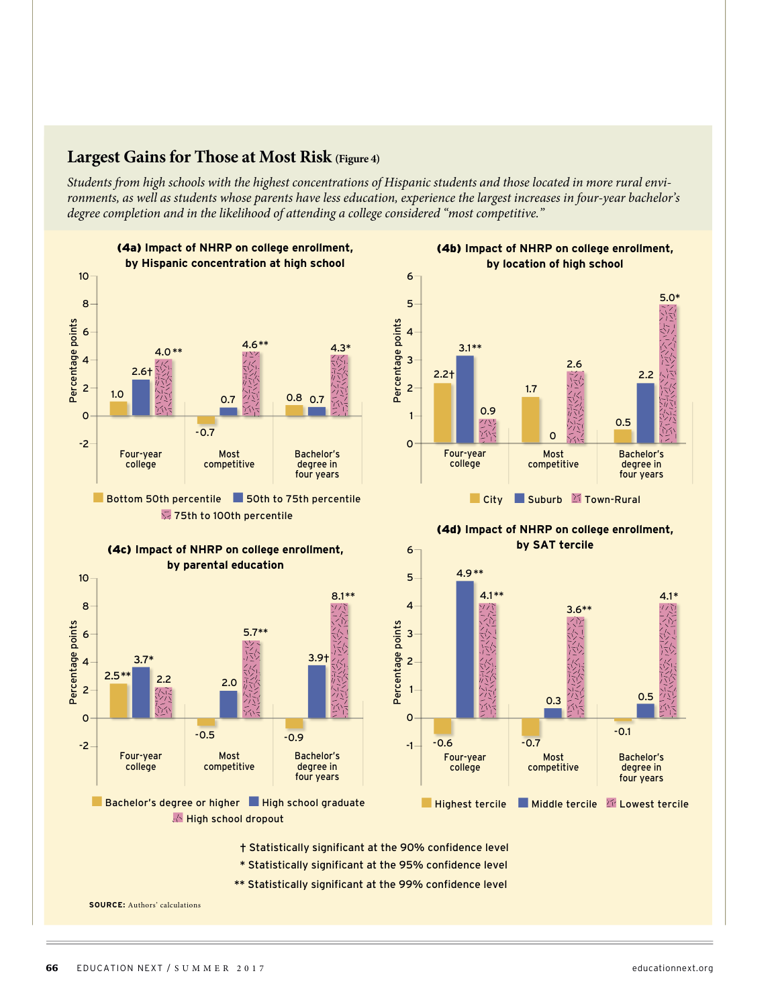# **Largest Gains for Those at Most Risk (Figure 4)**

Students from high schools with the highest concentrations of Hispanic students and those located in more rural environments, as well as students whose parents have less education, experience the largest increases in four-year bachelor's degree completion and in the likelihood of attending a college considered "most competitive."